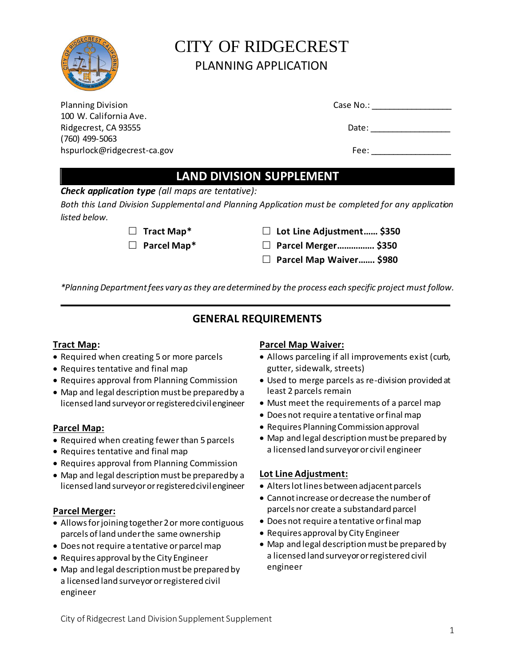

# CITY OF RIDGECREST PLANNING APPLICATION

| <b>LAND DIVISION SUPPLEMENT</b> |           |  |  |  |
|---------------------------------|-----------|--|--|--|
|                                 |           |  |  |  |
| hspurlock@ridgecrest-ca.gov     | Fee:      |  |  |  |
| $(760)$ 499-5063                |           |  |  |  |
| Ridgecrest, CA 93555            | Date:     |  |  |  |
| 100 W. California Ave.          |           |  |  |  |
| <b>Planning Division</b>        | Case No.: |  |  |  |

*Check application type (all maps are tentative):*

*Both this Land Division Supplemental and Planning Application must be completed for any application listed below.* 

- 
- **Tract Map\* Lot Line Adjustment…… \$350**
- **Parcel Map\* Parcel Merger……………. \$350**
	- **Parcel Map Waiver……. \$980**

*\*Planning Department fees vary as they are determined by the process each specific project must follow.* 

# **GENERAL REQUIREMENTS**

# **Tract Map:**

- Required when creating 5 or more parcels
- Requires tentative and final map
- Requires approval from Planning Commission
- Map and legal description must be prepared by a licensed land surveyor or registered civil engineer

# **Parcel Map:**

- Required when creating fewer than 5 parcels
- Requires tentative and final map
- Requires approval from Planning Commission
- Map and legal description must be prepared by a licensed land surveyor or registered civil engineer

# **Parcel Merger:**

- Allows for joining together 2 or more contiguous parcels of land under the same ownership
- Does not require a tentative or parcel map
- Requires approval by the City Engineer
- Map and legal description must be prepared by a licensed land surveyor or registered civil engineer

# **Parcel Map Waiver:**

- Allows parceling if all improvements exist (curb, gutter, sidewalk, streets)
- Used to merge parcels as re-division provided at least 2 parcels remain
- Must meet the requirements of a parcel map
- Does not require a tentative or final map
- Requires Planning Commission approval
- Map and legal description must be prepared by a licensed land surveyor or civil engineer

# **Lot Line Adjustment:**

- Alters lot lines between adjacent parcels
- Cannot increase or decrease the number of parcels nor create a substandard parcel
- Does not require a tentative or final map
- Requires approval by City Engineer
- Map and legal description must be prepared by a licensed land surveyor or registered civil engineer

| גאפ ואט. |  |  |
|----------|--|--|
|          |  |  |
|          |  |  |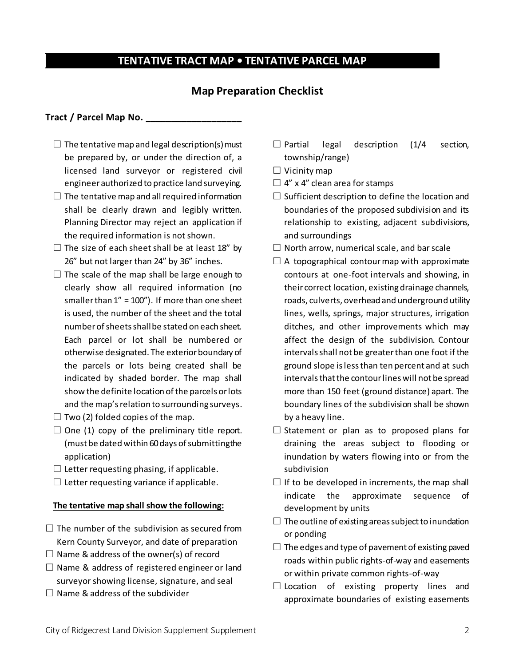# **TENTATIVE TRACT MAP • TENTATIVE PARCEL MAP**

## **Map Preparation Checklist**

#### **Tract / Parcel Map No. \_\_\_\_\_\_\_\_\_\_\_\_\_\_\_\_\_\_\_**

- $\Box$  The tentative map and legal description(s) must be prepared by, or under the direction of, a licensed land surveyor or registered civil engineer authorized to practice land surveying.
- $\Box$  The tentative map and all required information shall be clearly drawn and legibly written. Planning Director may reject an application if the required information is not shown.
- $\Box$  The size of each sheet shall be at least 18" by 26" but not larger than 24" by 36" inches.
- $\Box$  The scale of the map shall be large enough to clearly show all required information (no smaller than  $1'' = 100'$ ). If more than one sheet is used, the number of the sheet and the total number of sheets shall be stated on each sheet. Each parcel or lot shall be numbered or otherwise designated. The exterior boundary of the parcels or lots being created shall be indicated by shaded border. The map shall show the definite location of the parcels or lots and the map's relation to surrounding surveys.
- $\Box$  Two (2) folded copies of the map.
- $\square$  One (1) copy of the preliminary title report. (must be dated within 60 days of submitting the application)
- $\square$  Letter requesting phasing, if applicable.
- $\square$  Letter requesting variance if applicable.

#### **The tentative map shall show the following:**

- $\Box$  The number of the subdivision as secured from Kern County Surveyor, and date of preparation
- $\Box$  Name & address of the owner(s) of record
- $\square$  Name & address of registered engineer or land surveyor showing license, signature, and seal
- $\Box$  Name & address of the subdivider
- $\Box$  Partial legal description (1/4 section, township/range)
- $\Box$  Vicinity map
- $\Box$  4" x 4" clean area for stamps
- $\Box$  Sufficient description to define the location and boundaries of the proposed subdivision and its relationship to existing, adjacent subdivisions, and surroundings
- $\Box$  North arrow, numerical scale, and bar scale
- $\Box$  A topographical contour map with approximate contours at one-foot intervals and showing, in their correct location, existing drainage channels, roads, culverts, overhead and underground utility lines, wells, springs, major structures, irrigation ditches, and other improvements which may affect the design of the subdivision. Contour intervals shall not be greater than one foot if the ground slope is less than ten percent and at such intervals that the contour lines will not be spread more than 150 feet (ground distance) apart. The boundary lines of the subdivision shall be shown by a heavy line.
- $\square$  Statement or plan as to proposed plans for draining the areas subject to flooding or inundation by waters flowing into or from the subdivision
- $\Box$  If to be developed in increments, the map shall indicate the approximate sequence of development by units
- $\Box$  The outline of existing areas subject to inundation or ponding
- $\Box$  The edges and type of pavement of existing paved roads within public rights-of-way and easements or within private common rights-of-way
- $\square$  Location of existing property lines and approximate boundaries of existing easements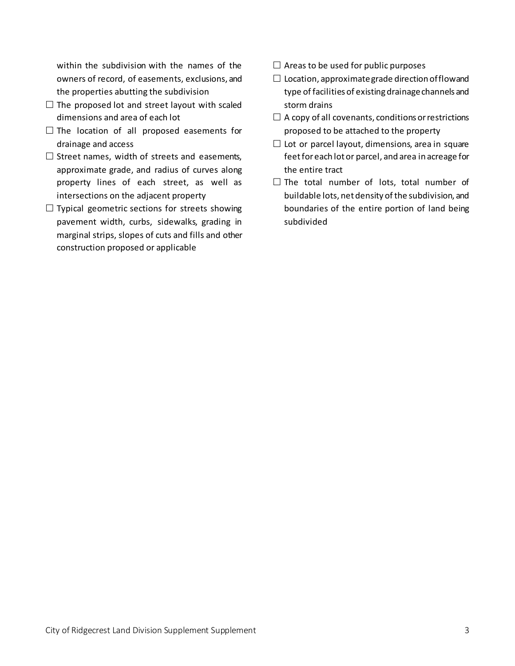within the subdivision with the names of the owners of record, of easements, exclusions, and the properties abutting the subdivision

- $\Box$  The proposed lot and street layout with scaled dimensions and area of each lot
- $\square$  The location of all proposed easements for drainage and access
- $\square$  Street names, width of streets and easements, approximate grade, and radius of curves along property lines of each street, as well as intersections on the adjacent property
- $\Box$  Typical geometric sections for streets showing pavement width, curbs, sidewalks, grading in marginal strips, slopes of cuts and fills and other construction proposed or applicable
- $\Box$  Areas to be used for public purposes
- $\square$  Location, approximate grade direction of flow and type of facilities of existing drainage channels and storm drains
- $\Box$  A copy of all covenants, conditions or restrictions proposed to be attached to the property
- $\Box$  Lot or parcel layout, dimensions, area in square feet for each lot or parcel, and area in acreage for the entire tract
- $\square$  The total number of lots, total number of buildable lots, net density of the subdivision, and boundaries of the entire portion of land being subdivided